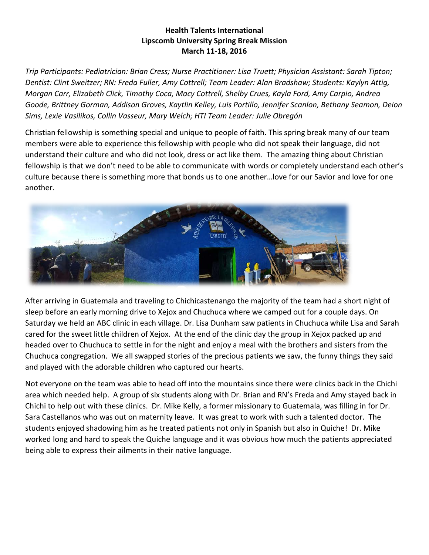## **Health Talents International Lipscomb University Spring Break Mission March 11-18, 2016**

*Trip Participants: Pediatrician: Brian Cress; Nurse Practitioner: Lisa Truett; Physician Assistant: Sarah Tipton; Dentist: Clint Sweitzer; RN: Freda Fuller, Amy Cottrell; Team Leader: Alan Bradshaw; Students: Kaylyn Attig, Morgan Carr, Elizabeth Click, Timothy Coca, Macy Cottrell, Shelby Crues, Kayla Ford, Amy Carpio, Andrea Goode, Brittney Gorman, Addison Groves, Kaytlin Kelley, Luis Portillo, Jennifer Scanlon, Bethany Seamon, Deion Sims, Lexie Vasilikos, Collin Vasseur, Mary Welch; HTI Team Leader: Julie Obregón*

Christian fellowship is something special and unique to people of faith. This spring break many of our team members were able to experience this fellowship with people who did not speak their language, did not understand their culture and who did not look, dress or act like them. The amazing thing about Christian fellowship is that we don't need to be able to communicate with words or completely understand each other's culture because there is something more that bonds us to one another…love for our Savior and love for one another.



After arriving in Guatemala and traveling to Chichicastenango the majority of the team had a short night of sleep before an early morning drive to Xejox and Chuchuca where we camped out for a couple days. On Saturday we held an ABC clinic in each village. Dr. Lisa Dunham saw patients in Chuchuca while Lisa and Sarah cared for the sweet little children of Xejox. At the end of the clinic day the group in Xejox packed up and headed over to Chuchuca to settle in for the night and enjoy a meal with the brothers and sisters from the Chuchuca congregation. We all swapped stories of the precious patients we saw, the funny things they said and played with the adorable children who captured our hearts.

Not everyone on the team was able to head off into the mountains since there were clinics back in the Chichi area which needed help. A group of six students along with Dr. Brian and RN's Freda and Amy stayed back in Chichi to help out with these clinics. Dr. Mike Kelly, a former missionary to Guatemala, was filling in for Dr. Sara Castellanos who was out on maternity leave. It was great to work with such a talented doctor. The students enjoyed shadowing him as he treated patients not only in Spanish but also in Quiche! Dr. Mike worked long and hard to speak the Quiche language and it was obvious how much the patients appreciated being able to express their ailments in their native language.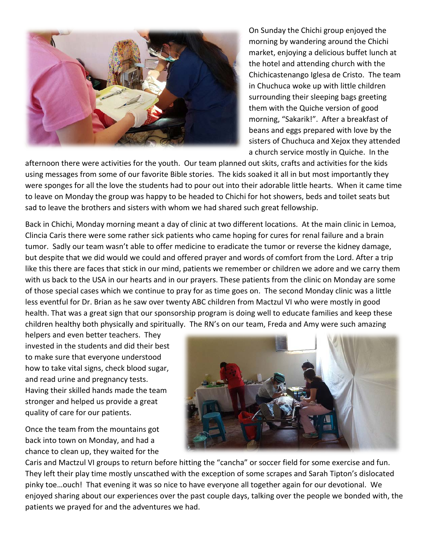

On Sunday the Chichi group enjoyed the morning by wandering around the Chichi market, enjoying a delicious buffet lunch at the hotel and attending church with the Chichicastenango Iglesa de Cristo. The team in Chuchuca woke up with little children surrounding their sleeping bags greeting them with the Quiche version of good morning, "Sakarik!". After a breakfast of beans and eggs prepared with love by the sisters of Chuchuca and Xejox they attended a church service mostly in Quiche. In the

afternoon there were activities for the youth. Our team planned out skits, crafts and activities for the kids using messages from some of our favorite Bible stories. The kids soaked it all in but most importantly they were sponges for all the love the students had to pour out into their adorable little hearts. When it came time to leave on Monday the group was happy to be headed to Chichi for hot showers, beds and toilet seats but sad to leave the brothers and sisters with whom we had shared such great fellowship.

Back in Chichi, Monday morning meant a day of clinic at two different locations. At the main clinic in Lemoa, Clincia Caris there were some rather sick patients who came hoping for cures for renal failure and a brain tumor. Sadly our team wasn't able to offer medicine to eradicate the tumor or reverse the kidney damage, but despite that we did would we could and offered prayer and words of comfort from the Lord. After a trip like this there are faces that stick in our mind, patients we remember or children we adore and we carry them with us back to the USA in our hearts and in our prayers. These patients from the clinic on Monday are some of those special cases which we continue to pray for as time goes on. The second Monday clinic was a little less eventful for Dr. Brian as he saw over twenty ABC children from Mactzul VI who were mostly in good health. That was a great sign that our sponsorship program is doing well to educate families and keep these children healthy both physically and spiritually. The RN's on our team, Freda and Amy were such amazing

helpers and even better teachers. They invested in the students and did their best to make sure that everyone understood how to take vital signs, check blood sugar, and read urine and pregnancy tests. Having their skilled hands made the team stronger and helped us provide a great quality of care for our patients.

Once the team from the mountains got back into town on Monday, and had a chance to clean up, they waited for the



Caris and Mactzul VI groups to return before hitting the "cancha" or soccer field for some exercise and fun. They left their play time mostly unscathed with the exception of some scrapes and Sarah Tipton's dislocated pinky toe…ouch! That evening it was so nice to have everyone all together again for our devotional. We enjoyed sharing about our experiences over the past couple days, talking over the people we bonded with, the patients we prayed for and the adventures we had.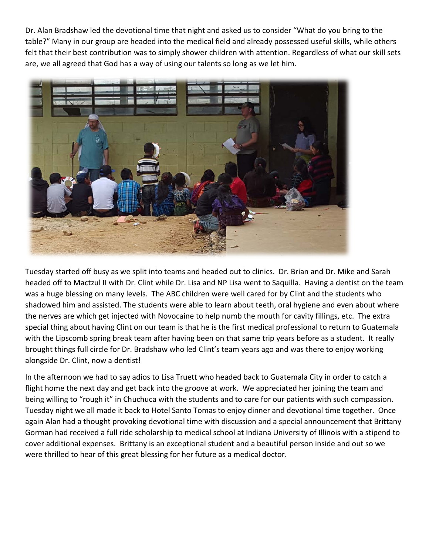Dr. Alan Bradshaw led the devotional time that night and asked us to consider "What do you bring to the table?" Many in our group are headed into the medical field and already possessed useful skills, while others felt that their best contribution was to simply shower children with attention. Regardless of what our skill sets are, we all agreed that God has a way of using our talents so long as we let him.



Tuesday started off busy as we split into teams and headed out to clinics. Dr. Brian and Dr. Mike and Sarah headed off to Mactzul II with Dr. Clint while Dr. Lisa and NP Lisa went to Saquilla. Having a dentist on the team was a huge blessing on many levels. The ABC children were well cared for by Clint and the students who shadowed him and assisted. The students were able to learn about teeth, oral hygiene and even about where the nerves are which get injected with Novocaine to help numb the mouth for cavity fillings, etc. The extra special thing about having Clint on our team is that he is the first medical professional to return to Guatemala with the Lipscomb spring break team after having been on that same trip years before as a student. It really brought things full circle for Dr. Bradshaw who led Clint's team years ago and was there to enjoy working alongside Dr. Clint, now a dentist!

In the afternoon we had to say adios to Lisa Truett who headed back to Guatemala City in order to catch a flight home the next day and get back into the groove at work. We appreciated her joining the team and being willing to "rough it" in Chuchuca with the students and to care for our patients with such compassion. Tuesday night we all made it back to Hotel Santo Tomas to enjoy dinner and devotional time together. Once again Alan had a thought provoking devotional time with discussion and a special announcement that Brittany Gorman had received a full ride scholarship to medical school at Indiana University of Illinois with a stipend to cover additional expenses. Brittany is an exceptional student and a beautiful person inside and out so we were thrilled to hear of this great blessing for her future as a medical doctor.